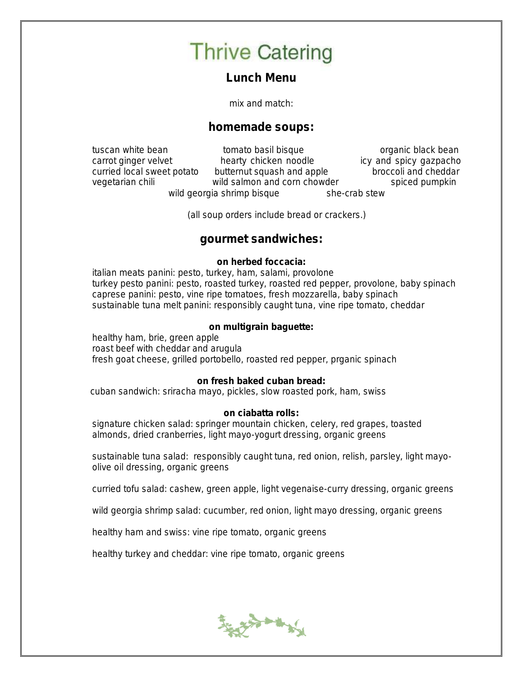Lunch Menu

mix and match:

### homemade soups:

tuscan white bean tomato basil bisque the same organic black bean carrot ginger velvet hearty chicken noodle icy and spicy gazpacho curried local sweet potato butternut squash and apple broccoli and cheddar vegetarian chili wild salmon and corn chowder spiced pumpkin wild georgia shrimp bisque she-crab stew

(all soup orders include bread or crackers.)

#### gourmet sandwiches:

on herbed foccacia:

italian meats panini: pesto, turkey, ham, salami, provolone turkey pesto panini: pesto, roasted turkey, roasted red pepper, provolone, baby spinach caprese panini: pesto, vine ripe tomatoes, fresh mozzarella, baby spinach sustainable tuna melt panini: responsibly caught tuna, vine ripe tomato, cheddar

on multigrain baguette:

healthy ham, brie, green apple roast beef with cheddar and arugula fresh goat cheese, grilled portobello, roasted red pepper, prganic spinach

on fresh baked cuban bread:

cuban sandwich: sriracha mayo, pickles, slow roasted pork, ham, swiss

on ciabatta rolls: signature chicken salad: springer mountain chicken, celery, red grapes, toasted almonds, dried cranberries, light mayo-yogurt dressing, organic greens

sustainable tuna salad: responsibly caught tuna, red onion, relish, parsley, light mayoolive oil dressing, organic greens

curried tofu salad: cashew, green apple, light vegenaise-curry dressing, organic greens

wild georgia shrimp salad: cucumber, red onion, light mayo dressing, organic greens

healthy ham and swiss: vine ripe tomato, organic greens

healthy turkey and cheddar: vine ripe tomato, organic greens

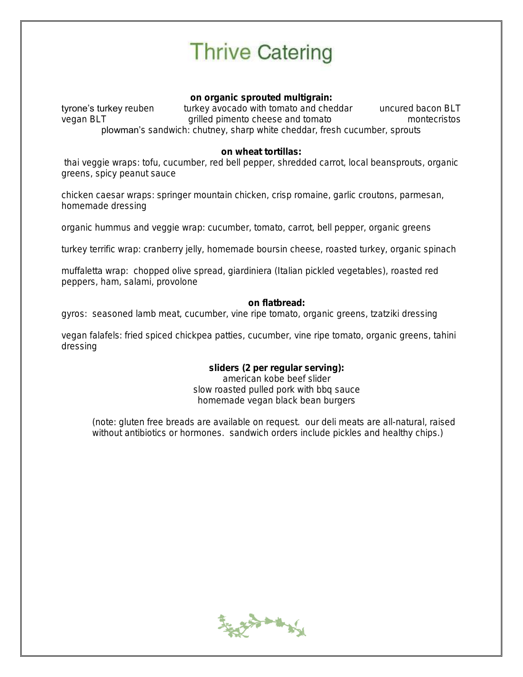on organic sprouted multigrain:

tyrone's turkey reuben turkey avocado with tomato and cheddar uncured bacon BLT<br>vegan BLT vegan BLT qrilled pimento cheese and tomato montecristos vegan BLT grilled pimento cheese and tomato plowman's sandwich: chutney, sharp white cheddar, fresh cucumber, sprouts

on wheat tortillas:

thai veggie wraps: tofu, cucumber, red bell pepper, shredded carrot, local beansprouts, organic greens, spicy peanut sauce

chicken caesar wraps: springer mountain chicken, crisp romaine, garlic croutons, parmesan, homemade dressing

organic hummus and veggie wrap: cucumber, tomato, carrot, bell pepper, organic greens

turkey terrific wrap: cranberry jelly, homemade boursin cheese, roasted turkey, organic spinach

muffaletta wrap: chopped olive spread, giardiniera (Italian pickled vegetables), roasted red peppers, ham, salami, provolone

on flatbread:

gyros: seasoned lamb meat, cucumber, vine ripe tomato, organic greens, tzatziki dressing

vegan falafels: fried spiced chickpea patties, cucumber, vine ripe tomato, organic greens, tahini dressing

> sliders (2 per regular serving): american kobe beef slider slow roasted pulled pork with bbq sauce homemade vegan black bean burgers

(note: gluten free breads are available on request. our deli meats are all-natural, raised without antibiotics or hormones. sandwich orders include pickles and healthy chips.)

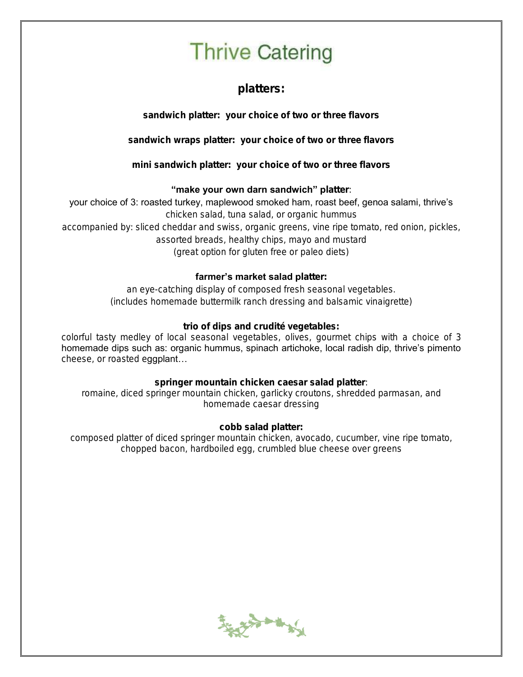platters:

sandwich platter: your choice of two or three flavors

sandwich wraps platter: your choice of two or three flavors

mini sandwich platter: your choice of two or three flavors

#### "make your own darn sandwich" platter:

your choice of 3: roasted turkey, maplewood smoked ham, roast beef, genoa salami, thrive's

chicken salad, tuna salad, or organic hummus

accompanied by: sliced cheddar and swiss, organic greens, vine ripe tomato, red onion, pickles, assorted breads, healthy chips, mayo and mustard (great option for gluten free or paleo diets)

#### farmer's market salad platter:

an eye-catching display of composed fresh seasonal vegetables. (includes homemade buttermilk ranch dressing and balsamic vinaigrette)

trio of dips and crudité vegetables:

colorful tasty medley of local seasonal vegetables, olives, gourmet chips with a choice of 3 homemade dips such as: organic hummus, spinach artichoke, local radish dip, thrive's pimento cheese, or roasted eggplant...

springer mountain chicken caesar salad platter: romaine, diced springer mountain chicken, garlicky croutons, shredded parmasan, and homemade caesar dressing

cobb salad platter: composed platter of diced springer mountain chicken, avocado, cucumber, vine ripe tomato, chopped bacon, hardboiled egg, crumbled blue cheese over greens

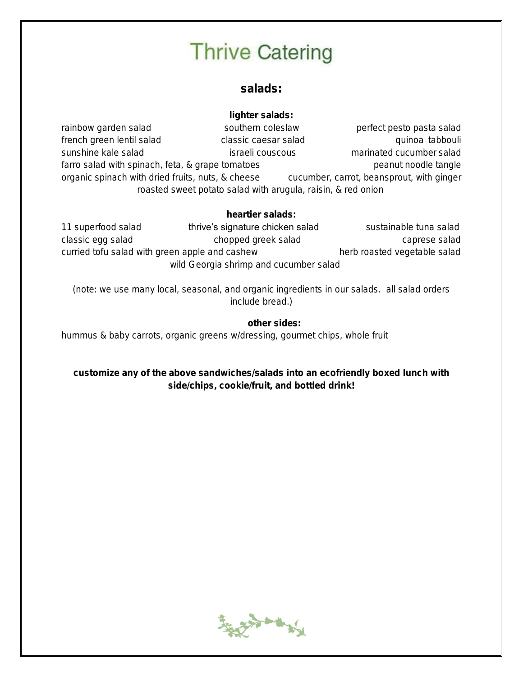### salads:

lighter salads: rainbow garden salad southern coleslaw perfect pesto pasta salad french green lentil salad classic caesar salad quinoa tabbouli sunshine kale salad israeli couscous israeli couscous marinated cucumber salad farro salad with spinach, feta, & grape tomatoes peanut noodle tangle organic spinach with dried fruits, nuts, & cheese cucumber, carrot, beansprout, with ginger roasted sweet potato salad with arugula, raisin, & red onion

heartier salads:

11 superfood salad thrive's signature chicken salad sustainable tuna salad classic egg salad chopped greek salad caprese salad caprese salad curried tofu salad with green apple and cashew herb roasted vegetable salad wild Georgia shrimp and cucumber salad

(note: we use many local, seasonal, and organic ingredients in our salads. all salad orders include bread.)

other sides:

hummus & baby carrots, organic greens w/dressing, gourmet chips, whole fruit

customize any of the above sandwiches/salads into an ecofriendly boxed lunch with side/chips, cookie/fruit, and bottled drink!

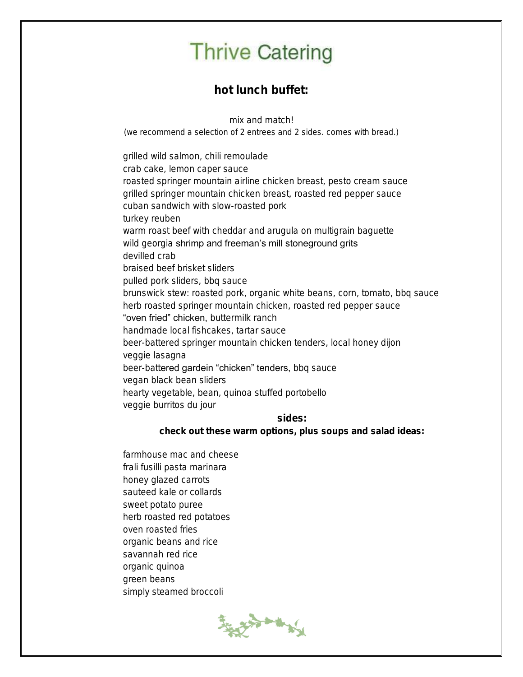hot lunch buffet:

mix and match!

(we recommend a selection of 2 entrees and 2 sides. comes with bread.)

grilled wild salmon, chili remoulade crab cake, lemon caper sauce roasted springer mountain airline chicken breast, pesto cream sauce grilled springer mountain chicken breast, roasted red pepper sauce cuban sandwich with slow-roasted pork turkey reuben warm roast beef with cheddar and arugula on multigrain baguette wild georgia shrimp and freeman's mill stoneground grits devilled crab braised beef brisket sliders pulled pork sliders, bbq sauce brunswick stew: roasted pork, organic white beans, corn, tomato, bbq sauce herb roasted springer mountain chicken, roasted red pepper sauce "oven fried" chicken, buttermilk ranch handmade local fishcakes, tartar sauce beer-battered springer mountain chicken tenders, local honey dijon veggie lasagna beer-battered gardein "chicken" tenders, bbq sauce vegan black bean sliders hearty vegetable, bean, quinoa stuffed portobello veggie burritos du jour sides:

check out these warm options, plus soups and salad ideas:

farmhouse mac and cheese frali fusilli pasta marinara honey glazed carrots sauteed kale or collards sweet potato puree herb roasted red potatoes oven roasted fries organic beans and rice savannah red rice organic quinoa green beans simply steamed broccoli